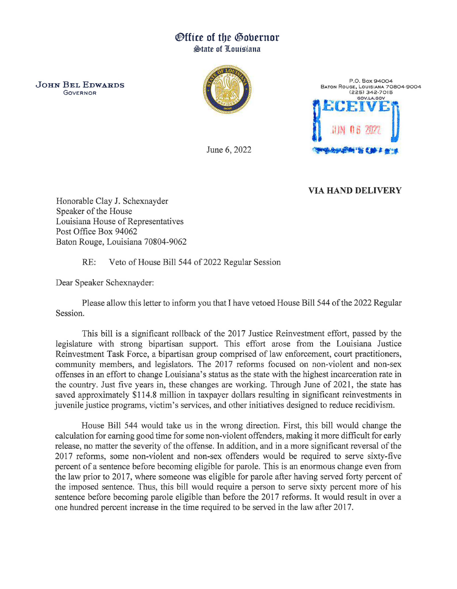## ®ffice of tbe ®obernor

**State of Louisiana** 

JOHN BEL EDWARDS GOVERNOR





June 6, 2022

## VIA HAND DELIVERY

Honorable Clay J. Schexnayder Speaker of the House Louisiana House of Representatives Post Office Box 94062 Baton Rouge, Louisiana 70804-9062

RE: Veto of House Bill 544 of 2022 Regular Session

Dear Speaker Schexnayder:

Please allow this letter to inform you that I have vetoed House Bill 544 of the 2022 Regular Session.

This bill is a significant rollback of the 2017 Justice Reinvestment effort, passed by the legislature with strong bipartisan support. This effort arose from the Louisiana Justice Reinvestment Task Force, a bipartisan group comprised of law enforcement, court practitioners, community members, and legislators. The 2017 reforms focused on non-violent and non-sex offenses in an effort to change Louisiana's status as the state with the highest incarceration rate in the country. Just five years in, these changes are working. Through June of 2021, the state has saved approximately \$114.8 million in taxpayer dollars resulting in significant reinvestments in juvenile justice programs, victim's services, and other initiatives designed to reduce recidivism.

House Bill 544 would take us in the wrong direction. First, this bill would change the calculation for earning good time for some non-violent offenders, making it more difficult for early release, no matter the severity of the offense. In addition, and in a more significant reversal of the 2017 reforms, some non-violent and non-sex offenders would be required to serve sixty-five percent of a sentence before becoming eligible for parole. This is an enormous change even from the law prior to 2017, where someone was eligible for parole after having served forty percent of the imposed sentence. Thus, this bill would require a person to serve sixty percent more of his sentence before becoming parole eligible than before the 2017 reforms. It would result in over a one hundred percent increase in the time required to be served in the law after 2017.